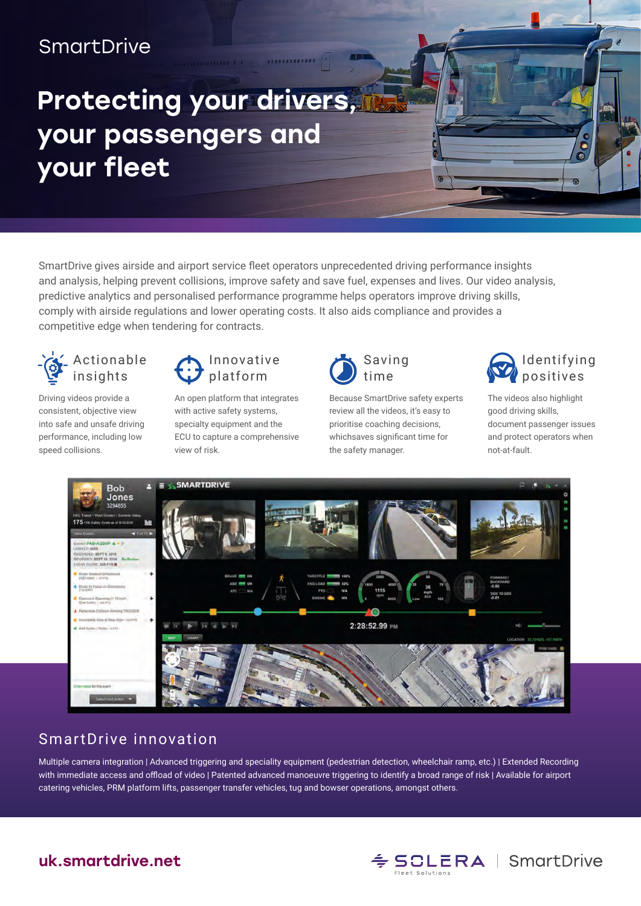## **SmartDrive**

# Protecting your drivers, your passengers and your fleet

SmartDrive gives airside and airport service fleet operators unprecedented driving performance insights and analysis, helping prevent collisions, improve safety and save fuel, expenses and lives. Our video analysis, predictive analytics and personalised performance programme helps operators improve driving skills, comply with airside regulations and lower operating costs. It also aids compliance and provides a competitive edge when tendering for contracts.



Driving videos provide a consistent, objective view into safe and unsafe driving performance, including low speed collisions.



An open platform that integrates with active safety systems, specialty equipment and the ECU to capture a comprehensive view of risk.



Because SmartDrive safety experts review all the videos, it's easy to prioritise coaching decisions, whichsaves significant time for the safety manager.



G r.

The videos also highlight good driving skills, document passenger issues and protect operators when not-at-fault.



#### SmartDrive innovation

Multiple camera integration | Advanced triggering and speciality equipment (pedestrian detection, wheelchair ramp, etc.) | Extended Recording with immediate access and offload of video | Patented advanced manoeuvre triggering to identify a broad range of risk | Available for airport catering vehicles, PRM platform lifts, passenger transfer vehicles, tug and bowser operations, amongst others.



#### uk.smartdrive.net